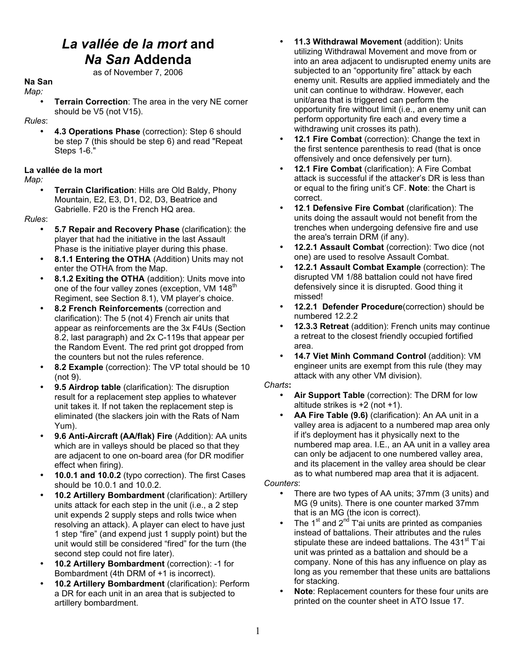## *La vallée de la mort* **and** *Na San* **Addenda** as of November 7, 2006

**Na San**

*Map:*

**Terrain Correction:** The area in the very NE corner should be V5 (not V15).

*Rules*:

• **4.3 Operations Phase** (correction): Step 6 should be step 7 (this should be step 6) and read "Repeat Steps 1-6."

## **La vallée de la mort**

*Map:*

• **Terrain Clarification**: Hills are Old Baldy, Phony Mountain, E2, E3, D1, D2, D3, Beatrice and Gabrielle. F20 is the French HQ area.

*Rules*:

- **5.7 Repair and Recovery Phase** (clarification): the player that had the initiative in the last Assault Phase is the initiative player during this phase.
- **8.1.1 Entering the OTHA** (Addition) Units may not enter the OTHA from the Map.
- **8.1.2 Exiting the OTHA** (addition): Units move into one of the four valley zones (exception, VM 148<sup>th</sup> Regiment, see Section 8.1), VM player's choice.
- **8.2 French Reinforcements** (correction and clarification): The 5 (not 4) French air units that appear as reinforcements are the 3x F4Us (Section 8.2, last paragraph) and 2x C-119s that appear per the Random Event. The red print got dropped from the counters but not the rules reference.
- **8.2 Example** (correction): The VP total should be 10 (not 9).
- **9.5 Airdrop table** (clarification): The disruption result for a replacement step applies to whatever unit takes it. If not taken the replacement step is eliminated (the slackers join with the Rats of Nam Yum).
- **9.6 Anti-Aircraft (AA/flak) Fire** (Addition): AA units which are in valleys should be placed so that they are adjacent to one on-board area (for DR modifier effect when firing).
- **10.0.1 and 10.0.2** (typo correction). The first Cases should be 10.0.1 and 10.0.2.
- **10.2 Artillery Bombardment** (clarification): Artillery units attack for each step in the unit (i.e., a 2 step unit expends 2 supply steps and rolls twice when resolving an attack). A player can elect to have just 1 step "fire" (and expend just 1 supply point) but the unit would still be considered "fired" for the turn (the second step could not fire later).
- **10.2 Artillery Bombardment** (correction): -1 for Bombardment (4th DRM of +1 is incorrect).
- **10.2 Artillery Bombardment** (clarification): Perform a DR for each unit in an area that is subjected to artillery bombardment.
- **11.3 Withdrawal Movement** (addition): Units utilizing Withdrawal Movement and move from or into an area adjacent to undisrupted enemy units are subjected to an "opportunity fire" attack by each enemy unit. Results are applied immediately and the unit can continue to withdraw. However, each unit/area that is triggered can perform the opportunity fire without limit (i.e., an enemy unit can perform opportunity fire each and every time a withdrawing unit crosses its path).
- 12.1 Fire Combat (correction): Change the text in the first sentence parenthesis to read (that is once offensively and once defensively per turn).
- **12.1 Fire Combat** (clarification): A Fire Combat attack is successful if the attacker's DR is less than or equal to the firing unit's CF. **Note**: the Chart is correct.
- **12**.**1 Defensive Fire Combat** (clarification): The units doing the assault would not benefit from the trenches when undergoing defensive fire and use the area's terrain DRM (if any).
- **12.2.1 Assault Combat** (correction): Two dice (not one) are used to resolve Assault Combat.
- **12.2.1 Assault Combat Example** (correction): The disrupted VM 1/88 battalion could not have fired defensively since it is disrupted. Good thing it missed!
- **12.2.1 Defender Procedure**(correction) should be numbered 12.2.2
- **12.3.3 Retreat** (addition): French units may continue a retreat to the closest friendly occupied fortified area.
- **14.7 Viet Minh Command Control** (addition): VM engineer units are exempt from this rule (they may attack with any other VM division).

## *Charts***:**

- **Air Support Table** (correction): The DRM for low altitude strikes is +2 (not +1).
- **AA Fire Table (9.6)** (clarification): An AA unit in a valley area is adjacent to a numbered map area only if it's deployment has it physically next to the numbered map area. I.E., an AA unit in a valley area can only be adjacent to one numbered valley area, and its placement in the valley area should be clear as to what numbered map area that it is adjacent.

*Counters*:

- There are two types of AA units; 37mm (3 units) and MG (9 units). There is one counter marked 37mm that is an MG (the icon is correct).
- The 1<sup>st</sup> and 2<sup>nd</sup> T'ai units are printed as companies instead of battalions. Their attributes and the rules stipulate these are indeed battalions. The 431<sup>st</sup> T'ai unit was printed as a battalion and should be a company. None of this has any influence on play as long as you remember that these units are battalions for stacking.
- **Note**: Replacement counters for these four units are printed on the counter sheet in ATO Issue 17.